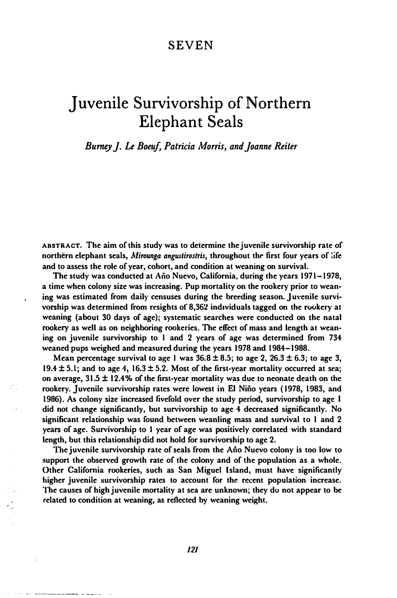# SEVEN

# Juvenile Survivorship of Northern Elephant Seals

Burney J. Le Boeuf, Patricia Morris, and Joanne Reiter

ABSTRACT. The aim of this study was to determine the juvenile survivorship rate of northern elephant seals, Mirounga angustirostris, throughout the first four years of life and to assess the role of year, cohort, and condition at weaning on survival.

The study was conducted at Ano Nuevo, California, during the years 1971-1978, a time when colony size was increasing. Pup mortality on the rookery prior to weaning was estimated from daily censuses during the breeding season. Juvenile survivorship was determined from resights of 8,362 individuals tagged on the rookery at weaning (about 30 days of age); systematic searches were conducted on the natal rookery as well as on neighboring rookeries. The effect of mass and length at weaning on juvenile survivorship to I and 2 years of age was determined from 734 weaned pups weighed and measured during the years 1978 and 1984-1988.

Mean percentage survival to age 1 was  $36.8 \pm 8.5$ ; to age 2,  $26.3 \pm 6.3$ ; to age 3, 19.4  $\pm$  5.1; and to age 4, 16.3  $\pm$  5.2. Most of the first-year mortality occurred at sea; on average, 31.5 ± 12.4% of the first-year mortality was due to neonate death on the rookery. Juvenile survivorship rates were lowest in EI Nino years (1978, 1983, and 1986). As colony size increased fivefold over the study period, survivorship to age I did not change significantly, but survivorship to age 4 decreased significantly. No significant relationship was found between weanling mass and survival to 1 and 2 years of age. Survivorship to 1 year of age was positively correlated with standard length, but this relationship did not hold for survivorship to age 2.

The juvenile survivorship rate of seals from the Ano Nuevo colony is too low to support the observed growth rate of the colony and of the population as a whole. Other California rookeries, such as San Miguel Island, must have significantly higher juvenile survivorship rates to account for the recent population increase. The causes of high juvenile mortality at sea are unknown; they do not appear to be related to condition at weaning, as reflected by weaning weight.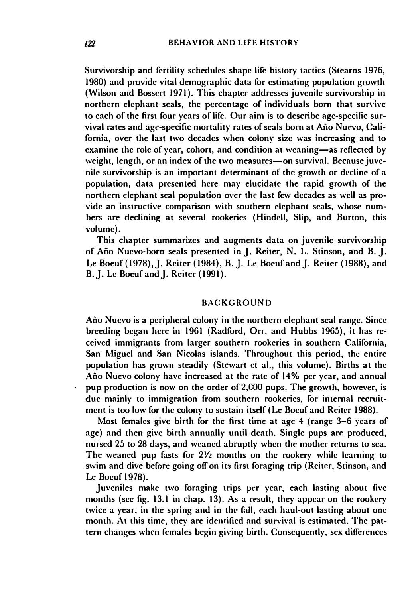Survivorship and fertility schedules shape lile history tactics (Stearns 1976, 1980) and provide vital demographic data lor estimating population growth (Wilson and Bossert 1971). This chapter addresses juvenile survivorship in northern elephant seals, the percentage of individuals born that survive to each of the first four years of life. Our aim is to describe age-specific survival rates and age-specific mortality rates of seals born at Año Nuevo. California, over the last two decades when colony size was increasing and to examine the role of year, cohort, and condition at weaning-as reflected by weight, length, or an index of the two measures-on survival. Because juvenile survivorship is an important determinant of the growth or decline of a population, data presented here may elucidate the rapid growth of the ...<br>northern elephant seal population over the last few decades as well as provide an instructive comparison with southern elephant seals, whose numbers are declining at several rookeries (Hindell, Slip, and Burton, this volume).

This chapter summarizes and augments data on juvenile survivorship of Año Nuevo-born seals presented in J. Reiter, N. L. Stinson, and B. J. Le Boeuf (1978), J. Reiter (1984), B. J. Lc Boeuf and J. Reiter (1988), and B. J. Le Boeuf and J. Reiter (1991).

# **BACKGROUND**

Ano Nuevo is a peripheral colony in the northern elephant seal range. Since breeding began here in 1961 (Radford, Orr, and Hubbs 1965), it has received immigrants from larger southern rookeries in southern California, San Miguel and San Nicolas islands. Throughout this period, the entire population has grown steadily (Stewart et al., this volume). Births at the Ano Nuevo colony have increased at the rate of 14% per year, and annual pup production is now on the order of 2,000 pups. The growth, however, is due mainly to immigration from southern rookeries, for internal recruitment is too low for the colony to sustain itself (Le Boeuf and Reiter 1988).

Most females give birth for the first time at age 4 (range 3-6 years of age) and then give birth annually until death. Single pups are produced, nursed 25 to 28 days, and weaned abruptly when the mother returns to sea. The weaned pup fasts for  $2\frac{1}{2}$  months on the rookery while learning to swim and dive belorc going off on its first foraging trip (Reiter, Stinson, and Le Boeuf I 97R).

Juveniles make two foraging trips per year, each lasting about five months (see fig. 13.1 in chap. 13). As a result, they appear on the rookery twice a year, in the spring and in the fall, each haul-out lasting about one month. At this time, they are identified and survival is estimated. The pattern changes when females begin giving birth. Consequently, sex differences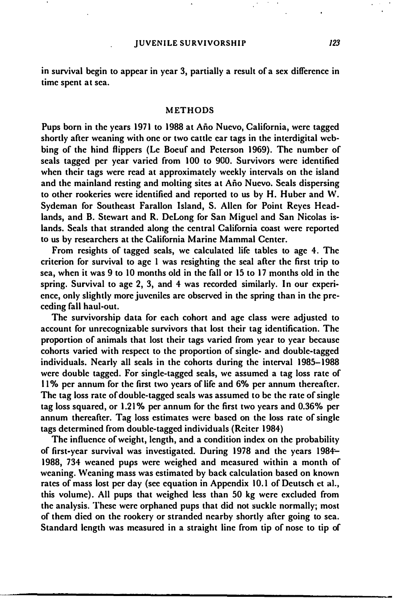in survival begin to appear in year 3, partially a result of a sex difference in time spent at sea.

#### METHODS

Pups born in the ycars 1971 to 1988 at Ano Nuevo, California, were tagged shortly after weaning with one or two cattle ear tags in the interdigital webbing of the hind flippers (Le Boeuf and Peterson 1969). The number of seals tagged per year varied from 100 to 900. Survivors were identified when their tags were read at approximately weekly intervals on the island and the mainland resting and molting sites at Ano Nuevo. Seals dispersing to other rookeries were identified and reported to us by H. Huber and W. Sydeman for Southeast Farallon Island, S. Allen for Point Reyes Headlands, and B. Stewart and R. DeLong for San Miguel and San Nicolas islands. Seals that stranded along the central California coast were reported to us by researchers at the California Marine Mammal Center.

From resights of tagged seals, we calculated life tables to age 4. The criterion for survival to age I was resighting the seal after the first trip to sea, when it was 9 to 10 months old in the fall or 15 to 17 months old in the spring. Survival to age 2, 3, and 4 was recorded similarly. In our experience, only slightly more juveniles are observed in the spring than in the preceding fall haul-out.

The survivorship data for each cohort and age class were adjusted to account for unrecognizable survivors that lost their tag identification. The proportion of animals that lost their tags varied from year to year because cohorts varied with respect to the proportion of single- and double-tagged individuals. Nearly all seals in the cohorts during the interval 1985-1988 were double tagged. For single-tagged seals, we assumed a tag loss rate of II % per annum for the first two years of life and 6% per annum thereafter. The tag loss rate of double-tagged seals was assumed to be the rate of single tag loss squared, or 1.21 % per annum for the first two years and 0.36% per annum thereafter. Tag loss estimates were based on the loss rate of single tags determined from double-tagged individuals (Reiter 1984)

The influence of weight, length, and a condition index on the probability of first-year survival was investigated. During 1978 and the years 1984-1988, 734 weaned pups were weighed and measured within a month of weaning. Weaning mass was estimated by back calculation based on known rates of mass lost per day (see equation in Appendix 10.1 of Deutsch ct aI., this volume). All pups that weighed less than 50 kg were excluded from the analysis. These were orphaned pups that did not suckle normally; most of them died on the rookery or stranded nearby shortly after going to sea. Standard length was measured in a straight line from tip of nose to tip of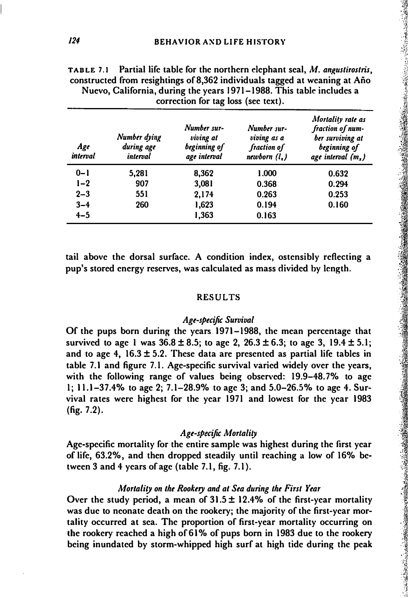| Age<br>interval | Number dying<br>during age<br>interval | Number sur-<br>viving at<br>beginning of<br>age interval | Number sur-<br>viving as a<br>fraction of<br>newborn $(l, )$ | Mortality rate as<br>fraction of num-<br>ber surviving at<br>beginning of<br>age interval $(m_x)$ |
|-----------------|----------------------------------------|----------------------------------------------------------|--------------------------------------------------------------|---------------------------------------------------------------------------------------------------|
| $0 - 1$         | 5,281                                  | 8,362                                                    | 1.000                                                        | 0.632                                                                                             |
| $1-2$           | 907                                    | 3,081                                                    | 0.368                                                        | 0.294                                                                                             |
| $2 - 3$         | 551                                    | 2.174                                                    | 0.263                                                        | 0.253                                                                                             |
| $3 - 4$         | 260                                    | 1,623                                                    | 0.194                                                        | 0.160                                                                                             |
| $4 - 5$         |                                        | 1,363                                                    | 0.163                                                        |                                                                                                   |

TABLE 7.1 Partial life table for the northern elephant seal,  $M$ . angustirostris, constructed from resightings of 8,362 individuals tagged at weaning at Ano Nuevo, California, during the years 1971-1988. This table includes a correction for tag loss (see text).

tail above the dorsal surface. A condition index, ostensibly reflecting a pup's stored energy reserves, was calculated as mass divided by Icngth.

#### RESULTS

# Age-specific Survival

Of the pups born during the years 1971-1988, the mean percentage that survived to age 1 was  $36.8 \pm 8.5$ ; to age 2,  $26.3 \pm 6.3$ ; to age 3,  $19.4 \pm 5.1$ ; and to age 4,  $16.3 \pm 5.2$ . These data are presented as partial life tables in table 7.1 and figure 7.1. Age-specific survival varied widely over the years, with the following range of values being observed: 19.9-48.7% to age I; 11.1-37.4% to age 2; 7.1-28.9% to age 3; and 5.0-26.5% to age 4. Survival rates were highest for the year 1971 and lowest for the year 1983 (fig. 7.2).

# Age-specific Mortality

Age-specific mortality for the entirc sample was highest during the first year of life, 63.2%, and then dropped steadily until reaching a low of 16% between 3 and 4 years of age (table 7.1, fig. 7.1).

### Mortality on the Rookery and at Sea during the First Year

Over the study period, a mean of  $31.5 \pm 12.4\%$  of the first-year mortality was due to neonate death on the rookery; the majority of the first-year mortality occurred at sea. The proportion of first-year mortality occurring on the rookery reached a high of 61 % of pups born in 1983 due to the rookery being inundated by storm-whipped high surf at high tide during the peak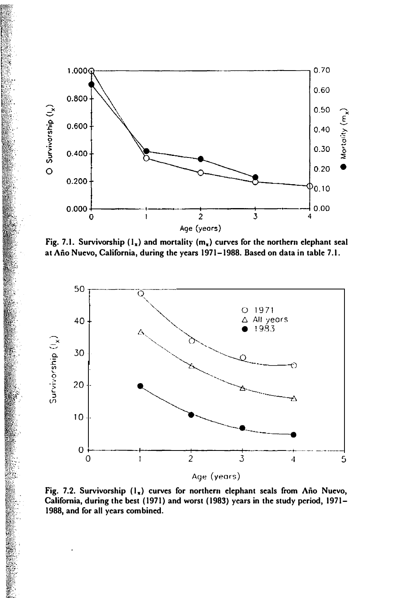

Fig. 7.1. Survivorship  $(1_x)$  and mortality  $(m_x)$  curves for the northern elephant seal at Año Nuevo, California, during the years 1971-1988. Based on data in table 7.1.



Fig. 7.2. Survivorship  $(1_x)$  curves for northern elephant seals from Año Nuevo, California, during the best (1971) and worst (1983) years in the study period, 1971- 1988, and for all years combined.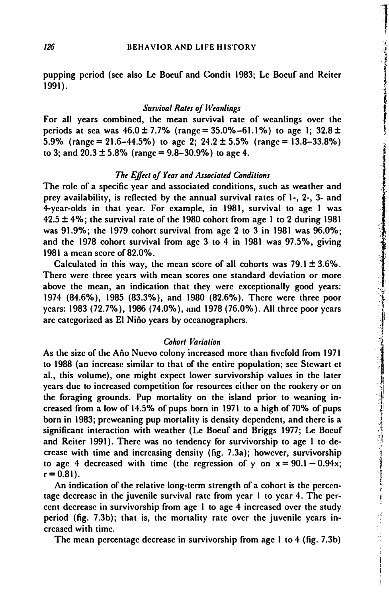pupping period (see also Le Boeuf and Condit 1983; Le Boeuf and Reiter 1991 ).

# Survival Rates of Weanlings

For all years combined, the mean survival rate of weanlings over the periods at sea was  $46.0 \pm 7.7\%$  (range = 35.0%-61.1%) to age 1; 32.8 ± 5.9% (range = 21.6–44.5%) to age 2:  $24.2 \pm 5.5$ % (range = 13.8–33.8%) to 3; and  $20.3 \pm 5.8\%$  (range = 9.8-30.9%) to age 4.

#### The Effect of Year and Associated Conditions

The role of a specific year and associated conditions, such as weather and prey availability, is reflected by the annual survival rates of 1-, 2-, 3- and 4-year-olds in that year. For example, in 1981, survival to age I was  $42.5 \pm 4\%$ ; the survival rate of the 1980 cohort from age 1 to 2 during 1981 was 91.9%; the 1979 cohort survival from age 2 to 3 in 1981 was 96.0%; and the 1978 cohort survival from age 3 to 4 in 1981 was 97.5%, giving 1981 a mean score of 82.0%.

Calculated in this way, the mean score of all cohorts was  $79.1 \pm 3.6\%$ . There were three years with mean scores one standard deviation or more above the mean, an indication that they were exceptionally good years: 1974 (84.6%), 1985 (83.3%), and 1980 (82.6%). There were three poor years: 1983 (72.7%), 1986 (74.0%), and 1978 (76.0%). All three poor years are categorized as EI Nino years by oceanographers.

#### **Cohort Variation**

As the size of the Ano Nuevo colony increased more than fivefold from 1971 to 1988 (an increase similar to that of the entire population; see Stewart et aI., this volume), one might expect lower survivorship values in the later years due to increased competition for resources either on the rookery or on the foraging grounds. Pup mortality on the island prior to weaning increased from a low of 14.5% of pups born in 1971 to a high of 70% of pups born in 1983; preweaning pup mortality is density dependent, and there is a significant interaction with weather (Le Boeuf and Briggs 1977; Le Boeuf and Reiter 1991). There was no tendency for survivorship to age I to decrease with time and increasing density (fig. 7.3a); however, survivorship to age 4 decreased with time (the regression of y on  $x = 90.1 - 0.94x$ ;  $r = 0.81$ ).

An indication of the relative long-term strength of a cohort is the percentage decrease in the juvenile survival rate from year I to year 4. The percent decrease in survivorship from age I to age 4 increased over the study period (fig. 7.3b); that is, the mortality rate over the juvenile years increased with time.

The mean percentage decrease in survivorship from age I to 4 (fig. 7.3b)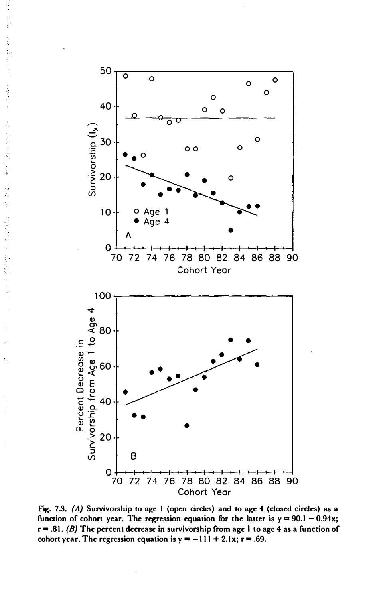

Fig. 7.3. (A) Survivorship to age 1 (open circles) and to age 4 (closed circles) as a function of cohort year. The regression equation for the latter is  $y = 90.1 - 0.94x$ ;  $r = .81.$  (B) The percent decrease in survivorship from age 1 to age 4 as a function of cohort year. The regression equation is  $y = -111 + 2.1x$ ;  $r = .69$ .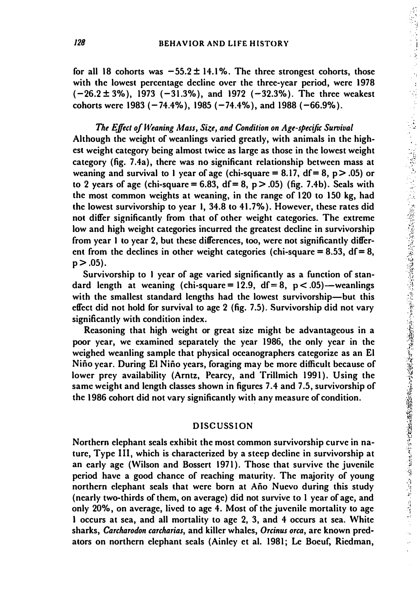for all 18 cohorts was  $-55.2 \pm 14.1\%$ . The three strongest cohorts, those with the lowest percentage decline over the three-year period, were 1978  $(-26.2 \pm 3\%)$ , 1973 (-31.3%), and 1972 (-32.3%). The three weakest cohorts were 1983 ( $-74.4\%$ ), 1985 ( $-74.4\%$ ), and 1988 ( $-66.9\%$ ).

The Effect of Weaning Mass, Size, and Condition on Age-specific Survival Although the weight of weanlings varied greatly, with animals in the highest weight category being almost twice as large as those in the lowest weight category (fig. 7.4a), there was no significant relationship between mass at weaning and survival to 1 year of age (chi-square  $= 8.17$ , df  $= 8$ , p  $> .05$ ) or to 2 years of age (chi-square = 6.83,  $df = 8$ , p > .05) (fig. 7.4b). Seals with the most common weights at weaning, in the range of 120 to 150 kg, had the lowest survivorship to year I, 34.8 to 41. 7%). However, these rates did not differ significantly from that of other weight categories. The extreme low and high weight categories incurred the greatest decline in survivorship from year I to year 2, but these differences, too, were not significantly different from the declines in other weight categories (chi-square  $= 8.53$ , df  $= 8$ ,  $p > .05$ ).

Survivorship to I year of age varied significantly as a function of standard length at weaning (chi-square = 12.9,  $df = 8$ ,  $p < .05$ ) – weanlings with the smallest standard lengths had the lowest survivorship—but this effect did not hold for survival to age 2 (fig. 7.5). Survivorship did not vary significantly with condition index.

Reasoning that high weight or great size might be advantageous in a poor year, we examined separately the year 1986, the only year in the weighed weanling sample that physical oceanographers categorize as an El Nino year. During El Nino years, foraging may be more difficult because of lower prey availability (Arntz, Pearcy, and Trillmich 1991). Using the same weight and length classes shown in figures 7.4 and 7.5, survivorship of the 1986 cohort did not vary significantly with any measure of condition.

#### DISCUSSION

Northern elephant seals exhibit the most common survivorship curve in nature, Type III, which is characterized by a steep decline in survivorship at an early age (Wilson and Bossert 1971). Those that survive the juvenile period have a good chance of reaching maturity. The majority of young northern elephant seals that were born at Ano Nuevo during this study (nearly two-thirds of them, on average) did not survive to I year of age, and only 20%, on average, lived to age 4. Most of the juvenile mortality to age 1 occurs at sea, and all mortality to age 2, 3, and 4 occurs at sea. White sharks, Carcharodon carcharias, and killer whales, Orcinus orca, are known predators on northern elephant seals (Ainley et al. 1981; Le Boeuf, Riedman,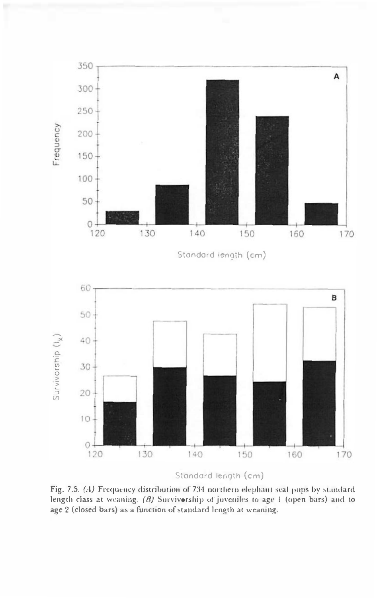

Standard length (cm)

Fig. 7.5. (A) Frequency distribution of 734 northern elephant scal pups by standard length class at weaning. (B) Survivorship of juveniles to age 1 (open bars) and to age 2 (closed bars) as a function of standard length at weaning.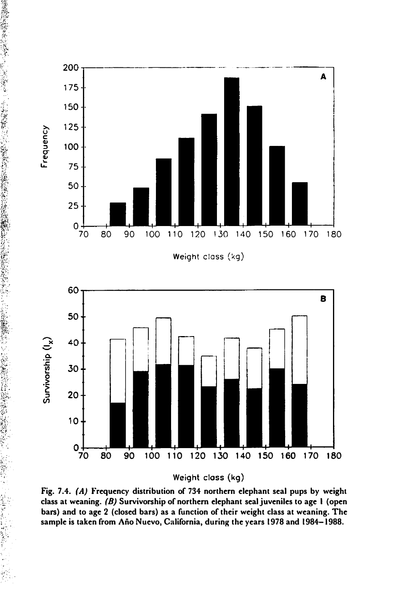

-/' ..

Weight closs (kg)

Fig. 7.4. (A) Frequency distribution of 734 northern elephant seal pups by weight class at weaning. (B) Survivorship of northern elephant seal juveniles to age I (open bars) and to age 2 (closed bars) as a function of their weight class at weaning. The sample is taken from Ano Nuevo, California, during the years 1978 and 1984-1988.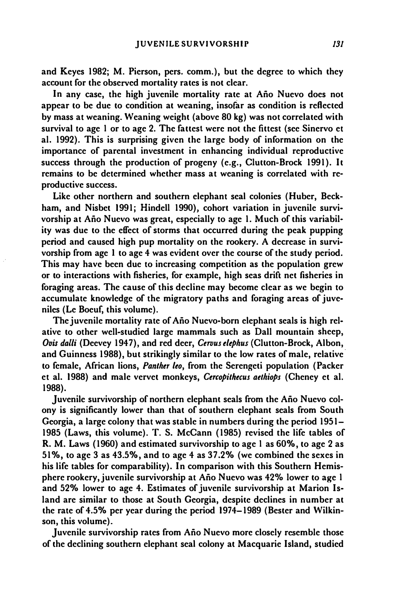and Keyes 1982; M. Pierson, pers. comm.), but the degree to which they account for the observed mortality rates is not clear.

In any case, the high juvenile mortality rate at Año Nuevo does not appear to be due to condition at weaning, insofar as condition is reflected by mass at weaning. Weaning weight (above 80 kg) was not correlated with survival to age I or to age 2. The fattest were not the fittest (see Sinervo et al. 1992). This is surprising given the large body of information on the importance of parental investment in enhancing individual reproductive success through the production of progeny (e.g., Clutton-Brock 1991). It remains to be determined whether mass at weaning is correlated with reproductive success.

Like other northern and southern elephant seal colonies (Huber, Beckham, and Nisbet 1991; Hindell 1990), cohort variation in juvenile survivorship at Año Nuevo was great, especially to age 1. Much of this variability was due to the effect of storms that occurred during the peak pupping period and caused high pup mortality on the rookery. A decrease in survivorship from age I to age 4 was evident over the course of the study period. This may have been due to increasing competition as the population grew or to interactions with fisheries, for example, high seas drift net fisheries in foraging areas. The cause of this decline may become clear as we begin to accumulate knowledge of the migratory paths and foraging areas of juveniles (Le Boeuf, this volume).

The juvenile mortality rate of Ano Nuevo-born elephant seals is high relative to other well-studied large mammals such as Dall mountain sheep, Ovis dalli (Deevey 1947), and red deer, Cervus elephus (Clutton-Brock, Albon, and Guinness 1988), but strikingly similar to the low rates of male, relative to female, African lions, Panther leo, from the Serengeti population (Packer et al. 1988) and male vervet monkeys, Cercopithecus aethiops (Cheney et al. 1988).

Juvenile survivorship of northern elephant seals from the Año Nuevo colony is significantly lower than that of southern elephant seals from South Georgia, a large colony that was stable in numbers during the period 1951- 1985 (Laws, this volume). T. S. McCann (1985) revised the life tables of R. M. Laws (1960) and estimated survivorship to age I as 60%, to age 2 as 51%, to age 3 as 43.5%, and to age 4 as 37.2% (we combined the sexes in his life tables for comparability). In comparison with this Southern Hemisphere rookery, juvenile survivorship at Ano Nuevo was 42% lower to age I and 52% lower to age 4. Estimates of juvenile survivorship at Marion Island are similar to those at South Georgia, despite declines in number at the rate of 4.5% per year during the period 1974-1989 (Bester and Wilkinson, this volume).

Juvenile survivorship rates from Ano Nuevo more closely resemble those of the declining southern elephant seal colony at Macquarie Island, studied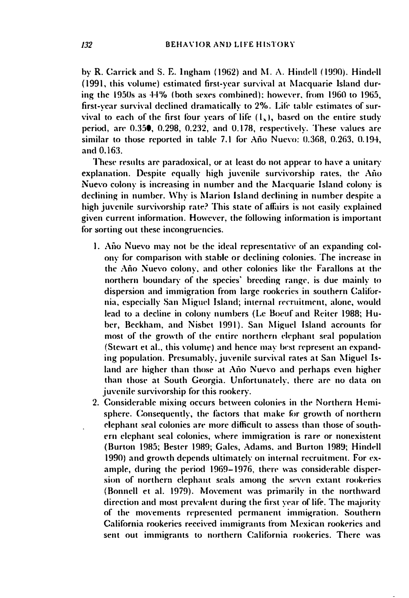by R. Carrick and S. E. Ingham (1962) and M. A. Hindell (1990). Hindell (1991, this volume) estimated first-year survival at Macquarie Island during the 1950s as 44% (both sexes combined); however, from 1960 to 1965, first-year survival declined dramatically to 2%. Life table estimates of survival to each of the first four years of life  $(1, )$ , based on the entire study period, are 0.350, 0.298, 0.232, and 0.178, respectively. These values are similar to those reported in table 7.1 for Año Nuevo: 0.368, 0.263, 0.194, and 0.163.

These results are paradoxical, or at least do not appear to have a unitary explanation. Despite equally high juvenile survivorship rates, the Año Nuevo colony is increasing in number and the Macquarie Island colony is declining in number. Why is Marion Island declining in number despite a high juvenile survivorship rate? This state of affairs is not easily explained given current information. However, the following information is important for sorting out these incongruencies.

- 1. Año Nuevo may not be the ideal representative of an expanding colony for comparison with stable or declining colonies. The increase in the Año Nuevo colony, and other colonies like the Farallons at the northern boundary of the species' breeding range, is due mainly to dispersion and immigration from large rookeries in southern California, especially San Miguel Island; internal recruitment, alone, would lead to a decline in colony numbers (Le Boeuf and Reiter 1988; Huber, Beckham, and Nisbet 1991). San Miguel Island accounts for most of the growth of the entire northern elephant seal population (Stewart et al., this volume) and hence may best represent an expanding population. Presumably, juvenile survival rates at San Miguel Island are higher than those at Año Nuevo and perhaps even higher than those at South Georgia. Unfortunately, there are no data on juvenile survivorship for this rookery.
- 2. Considerable mixing occurs between colonies in the Northern Hemisphere. Consequently, the factors that make for growth of northern elephant seal colonies are more difficult to assess than those of southern elephant seal colonies, where immigration is rare or nonexistent (Burton 1985; Bester 1989; Gales, Adams, and Burton 1989; Hindell 1990) and growth depends ultimately on internal recruitment. For example, during the period 1969-1976, there was considerable dispersion of northern elephant seals among the seven extant rookeries (Bonnell et al. 1979). Movement was primarily in the northward direction and most prevalent during the first year of life. The majority of the movements represented permanent immigration. Southern California rookeries received immigrants from Mexican rookeries and sent out immigrants to northern California rookeries. There was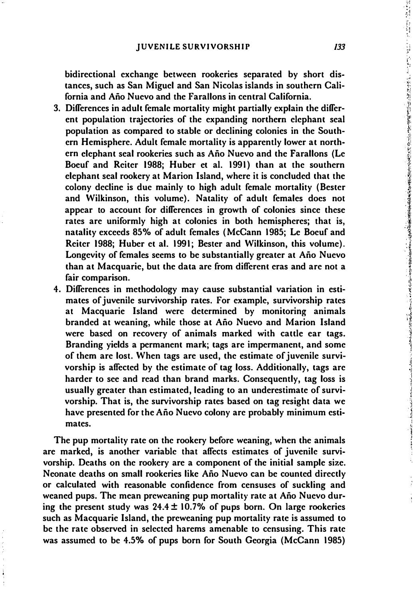bidirectional exchange between rookeries separated by short distances, such as San Miguel and San Nicolas islands in southern California and Ano Nuevo and the Farallons in central California.

- 3. Differences in adult female mortality might partially explain the different population trajectories of the expanding northern elephant seal population as compared to stable or declining colonies in the Southern Hemisphere. Adult female mortality is apparently lower at northern elephant seal rookeries such as Ano Nuevo and the Farallons (Le Boeuf and Reiter 1988; Huber et al. 1991) than at the southern elephant seal rookery at Marion Island, where it is concluded that the colony decline is due mainly to high adult female mortality (Bester and Wilkinson, this volume). Natality of adult females docs not appear to account for differences in growth of colonies since these rates are uniformly high at colonies in both hemispheres; that is, natality exceeds 85% of adult females (McCann 1985; Le Boeuf and Reiter 1988; Huber et al. 1991; Bester and Wilkinson, this volume). Longevity of females seems to be substantially greater at Año Nuevo than at Macquarie, but the data are from different eras and are not a fair comparison.
- 4. Differences in methodology may cause substantial variation in estimates of juvenile survivorship rates. For example, survivorship rates at Macquarie Island were determined by monitoring animals branded at weaning, while those at Ano Nuevo and Marion Island were based on recovery of animals marked with cattle ear tags. Branding yields a permanent mark; tags are impermanent, and some of them are lost. When tags are used, the estimate of juvenile survivorship is affected by the estimate of tag loss. Additionally, tags are harder to see and read than brand marks. Consequently, tag loss is usually greater than estimated, leading to an underestimate of survivorship. That is, the survivorship rates based on tag resight data we have presented for the Año Nuevo colony are probably minimum estimates.

The pup mortality rate on the rookery before weaning, when the animals are marked, is another variable that affects estimates of juvenile survivorship. Deaths on the rookery are a component of the initial sample size. Neonate deaths on small rookeries like Ano Nuevo can be counted directly or calculated with reasonable confidence from censuses of suckling and weaned pups. The mean preweaning pup mortality rate at Ano Nuevo during the present study was  $24.4 \pm 10.7\%$  of pups born. On large rookeries such as Macquarie Island, the preweaning pup mortality rate is assumed to be the rate observed in selected harems amenable to censusing. This rate was assumed to be 4.5% of pups born for South Georgia (McCann 1985)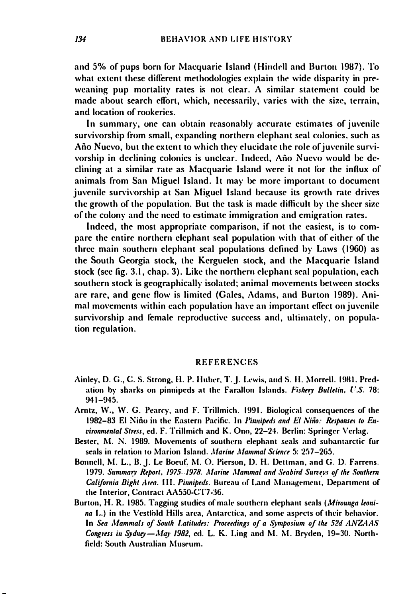and 5% of pups born for Macquarie Island (Hindell and Burton 1987). To what extent these different methodologies explain the wide disparity in preweaning pup mortality rates is not clear. A similar statement could be made about search effort, which, necessarily, varies with the size, terrain, and location of rookeries.

In summary, one can obtain reasonably accurate estimates of juvenile survivorship from small, expanding northern elephant seal colonies, such as Año Nuevo, but the extent to which they elucidate the role of juvenile survivorship in declining colonies is unclear. Indeed, Año Nuevo would be declining at a similar rate as Macquarie Island were it not for the influx of animals from San Miguel Island. It may be more important to document juvenile survivorship at San Miguel Island because its growth rate drives the growth of the population. But the task is made difficult by the sheer size of the colony and the need to estimate immigration and emigration rates.

Indeed, the most appropriate comparison, if not the easiest, is to compare the entire northern elephant seal population with that of either of the three main southern elephant seal populations defined by Laws (1960) as the South Georgia stock, the Kerguelen stock, and the Macquarie Island stock (see fig. 3.1, chap. 3). Like the northern elephant seal population, each southern stock is geographically isolated; animal movements between stocks are rare, and gene flow is limited (Gales, Adams, and Burton 1989). Animal movements within each population have an important effect on juvenile survivorship and female reproductive success and, ultimately, on population regulation.

#### **REFERENCES**

- Ainley, D. G., C. S. Strong, H. P. Huber, T. J. Lewis, and S. H. Morrell. 1981. Predation by sharks on pinnipeds at the Farallon Islands. Fishery Bulletin, U.S. 78:  $941 - 945.$
- Arntz, W., W. G. Pearcy, and F. Trillmich. 1991. Biological consequences of the 1982-83 El Niño in the Eastern Pacific. In Pinnipeds and El Niño: Responses to Environmental Stress, ed. F. Trillmich and K. Ono, 22-24. Berlin: Springer Verlag.
- Bester, M. N. 1989. Movements of southern elephant seals and subantarctic fur seals in relation to Marion Island. Marine Mammal Science 5: 257-265.
- Bonnell, M. L., B. J. Le Boeuf, M. O. Pierson, D. H. Dettman, and G. D. Farrens. 1979. Summary Report, 1975-1978. Marine Mammal and Seabird Surveys of the Southern California Bight Area. 111. Pinnipeds. Bureau of Land Management, Department of the Interior, Contract AA550-CT7-36.
- Burton, H. R. 1985. Tagging studies of male southern elephant seals (Mirounga leonina L.) in the Vestfold Hills area, Antarctica, and some aspects of their behavior. In Sea Mammals of South Latitudes: Proceedings of a Symposium of the 52d ANZAAS Congress in Sydney-May 1982, ed. L. K. Ling and M. M. Bryden, 19-30. Northfield: South Australian Museum.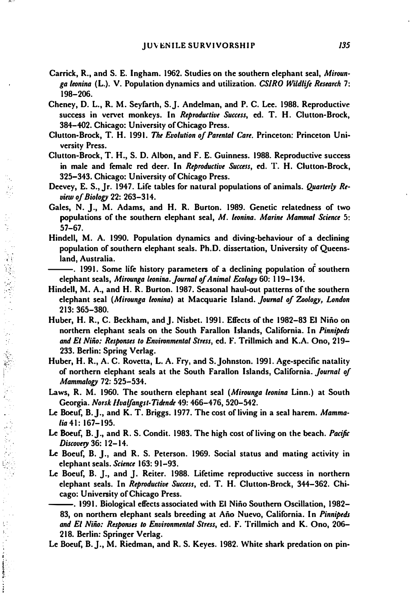- Carrick, R., and S. E. Ingham. 1962. Studies on the southern elephant seal, Mirounga leonina (L.). V. Population dynamics and utilization. CSIRO Wildlife Research 7: 198-206.
- Cheney, D. L., R. M. Seyfarth, S.J. Andelman, and P. C. Lee. 1988. Reproductive success in vervet monkeys. In Reproductive Success, ed. T. H. Clutton-Brock, 384-402. Chicago: University of Chicago Press.
- Clutton-Brock, T. H. 199J. The Evolution of Parental Care. Princeton: Princeton University Press.
- Clutton-Brock, T. H., S. D. Albon, and F. E. Guinness. 1988. Reproductive success in male and femalc red deer. In Reproductive Success, ed. T. H. Clutton-Brock, 325-343. Chicago: University of Chicago Press.
- Deevey, E. S., Jr. 1947. Life tables for natural populations of animals. Quarterly Review of Biology 22: 263-314.

Ú,

ŕ,

a<br>N

ć, ŕ 

- Gales, N. J., M. Adams, and H. R. Burton. 1989. Genetic relatedness of two populations of the southern elephant seal, M. leonina. Marine Mammal Science 5: 57-67.
- Hindell, M. A. 1990. Population dynamics and diving-behaviour of a declining population of southern elephant seals. Ph.D. dissertation, University of Queens land, Australia.
- ----------------. 1991. Some life history parameters of a declining population of southern elephant seals, Mirounga leonina. Journal of Animal Ecology 60: 119-134.
- Hindell, M. A., and H. R. Burton. 1987. Seasonal haul-out patterns of the southern elephant seal (Mirounga leonina) at Macquarie Island. Journal of Zoology, London 213: 365-380.
- Huber, H. R., C. Beckham, andJ. Nisbet. 1991. Effects of the 1982-83 EI Nino on northern elephant seals on the South Farallon Islands, California. In Pinnipeds and EI Nino: Responses to Environmental Stress, ed. F. Trillmich and K.A. Ono, 219- 233. Berlin: Spring Verlag.
- Huber, H. R., A. C. Rovetta, L. A. Fry, and S.Johnston. 1991. Age-specific natality of northern elephant seals at the South Farallon Islands, California. Journal of Mammalogy 72: 525-534.
- Laws, R. M. 1960. The southern elephant seal (Mirounga leonina Linn.) at South Georgia. Norsk Hvalfangst-Tidende 49: 466-476, 520-542.
- Le Boeuf, B. J., and K. T. Briggs. 1977. The cost of living in a seal harem. Mammalia 41: 167-195.
- Le Boeuf, B.J., and R. S. Condit. 1983. The high cost of living on the beach. Pacific Discovery 36: 12-14.
- Le Boeuf, B. J., and R. S. Peterson. 1969. Social status and mating activity in elephant seals. Science 163: 91-93.
- Le Boeuf, B. J., and J. Reiter. 1988. Lifetime reproductive success in northern elephant seals. In Reproductive Success, cd. T. H. Clutton-Brock, 344-362. Chi cago: University of Chicago Press.
- --- . 1991. Biological elfects associated with EI Nino Southern Oscillation, 1982- 83, on northern elephant seals breeding at Año Nuevo, California. In Pinnipeds and EI Nino: Responses 10 Environmental Stress, ed. F. Trillmich and K. Ono, 206- 218. Berlin: Springer Verlag.
- Le Boeuf, B.J., M. Riedman, and R. S. Keyes. 1982. White shark predation on pin-